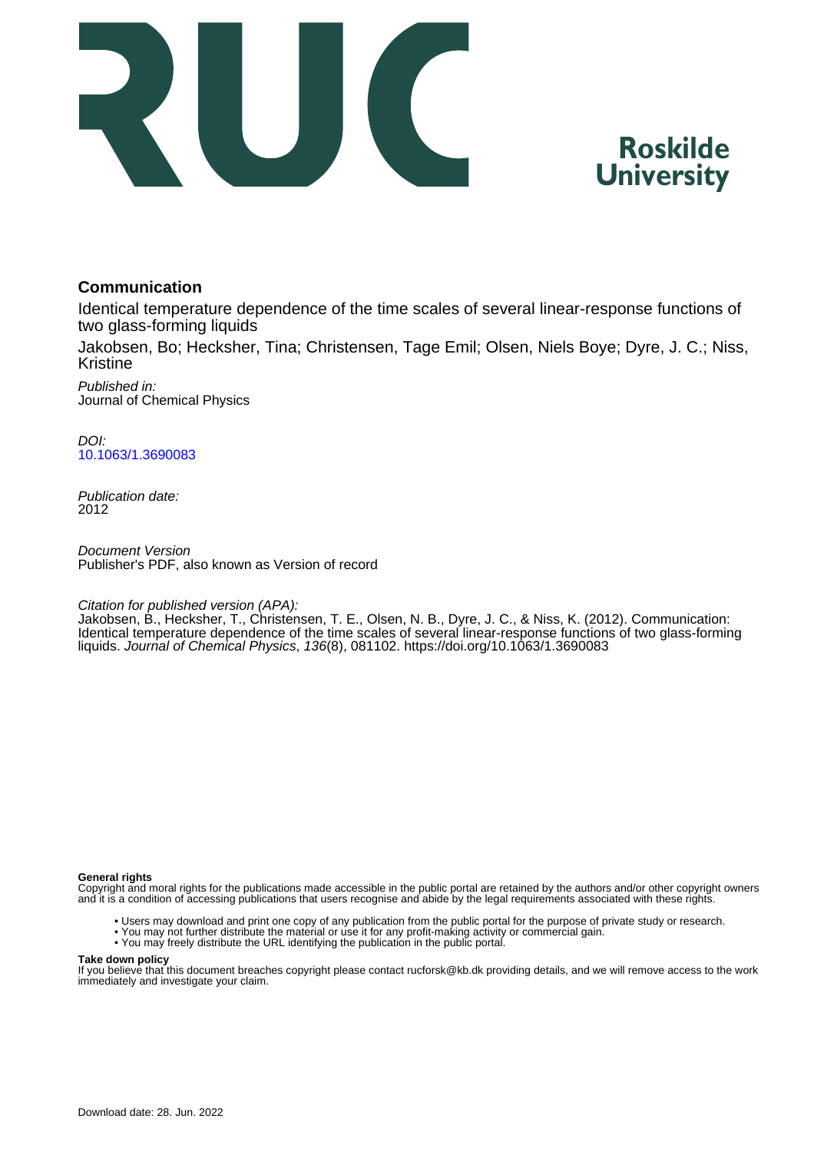



## **Communication**

Identical temperature dependence of the time scales of several linear-response functions of two glass-forming liquids

Jakobsen, Bo; Hecksher, Tina; Christensen, Tage Emil; Olsen, Niels Boye; Dyre, J. C.; Niss, Kristine

Published in: Journal of Chemical Physics

DOI: [10.1063/1.3690083](https://doi.org/10.1063/1.3690083)

Publication date: 2012

Document Version Publisher's PDF, also known as Version of record

Citation for published version (APA):

Jakobsen, B., Hecksher, T., Christensen, T. E., Olsen, N. B., Dyre, J. C., & Niss, K. (2012). Communication: Identical temperature dependence of the time scales of several linear-response functions of two glass-forming liquids. Journal of Chemical Physics, 136(8), 081102.<https://doi.org/10.1063/1.3690083>

#### **General rights**

Copyright and moral rights for the publications made accessible in the public portal are retained by the authors and/or other copyright owners and it is a condition of accessing publications that users recognise and abide by the legal requirements associated with these rights.

- Users may download and print one copy of any publication from the public portal for the purpose of private study or research.
- You may not further distribute the material or use it for any profit-making activity or commercial gain.
- You may freely distribute the URL identifying the publication in the public portal.

#### **Take down policy**

If you believe that this document breaches copyright please contact rucforsk@kb.dk providing details, and we will remove access to the work immediately and investigate your claim.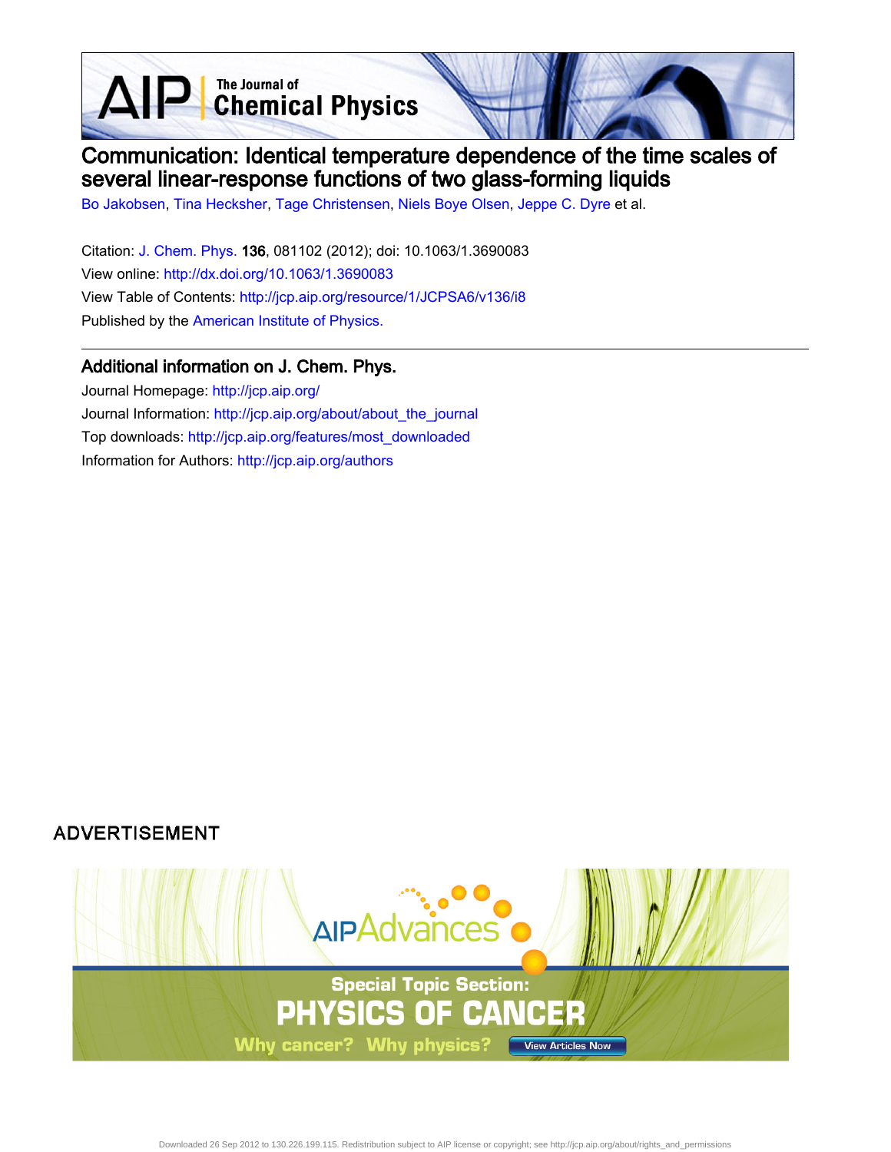**D** The Journal of<br> **Chemical Physics** 

# Communication: Identical temperature dependence of the time scales of several linear-response functions of two glass-forming liquids

[Bo Jakobsen,](http://jcp.aip.org/search?sortby=newestdate&q=&searchzone=2&searchtype=searchin&faceted=faceted&key=AIP_ALL&possible1=Bo Jakobsen&possible1zone=author&alias=&displayid=AIP&ver=pdfcov) [Tina Hecksher,](http://jcp.aip.org/search?sortby=newestdate&q=&searchzone=2&searchtype=searchin&faceted=faceted&key=AIP_ALL&possible1=Tina Hecksher&possible1zone=author&alias=&displayid=AIP&ver=pdfcov) [Tage Christensen](http://jcp.aip.org/search?sortby=newestdate&q=&searchzone=2&searchtype=searchin&faceted=faceted&key=AIP_ALL&possible1=Tage Christensen&possible1zone=author&alias=&displayid=AIP&ver=pdfcov), [Niels Boye Olsen](http://jcp.aip.org/search?sortby=newestdate&q=&searchzone=2&searchtype=searchin&faceted=faceted&key=AIP_ALL&possible1=Niels Boye Olsen&possible1zone=author&alias=&displayid=AIP&ver=pdfcov), [Jeppe C. Dyre](http://jcp.aip.org/search?sortby=newestdate&q=&searchzone=2&searchtype=searchin&faceted=faceted&key=AIP_ALL&possible1=Jeppe C. Dyre&possible1zone=author&alias=&displayid=AIP&ver=pdfcov) et al.

Citation: [J. Chem. Phys. 1](http://jcp.aip.org/?ver=pdfcov)36, 081102 (2012); doi: 10.1063/1.3690083 View online: [http://dx.doi.org/10.1063/1.3690083](http://link.aip.org/link/doi/10.1063/1.3690083?ver=pdfcov) View Table of Contents: [http://jcp.aip.org/resource/1/JCPSA6/v136/i8](http://jcp.aip.org/resource/1/JCPSA6/v136/i8?ver=pdfcov) Published by the [American Institute of Physics.](http://www.aip.org/?ver=pdfcov)

## Additional information on J. Chem. Phys.

 $\Delta$ 

Journal Homepage: [http://jcp.aip.org/](http://jcp.aip.org/?ver=pdfcov) Journal Information: [http://jcp.aip.org/about/about\\_the\\_journal](http://jcp.aip.org/about/about_the_journal?ver=pdfcov) Top downloads: [http://jcp.aip.org/features/most\\_downloaded](http://jcp.aip.org/features/most_downloaded?ver=pdfcov) Information for Authors: [http://jcp.aip.org/authors](http://jcp.aip.org/authors?ver=pdfcov)

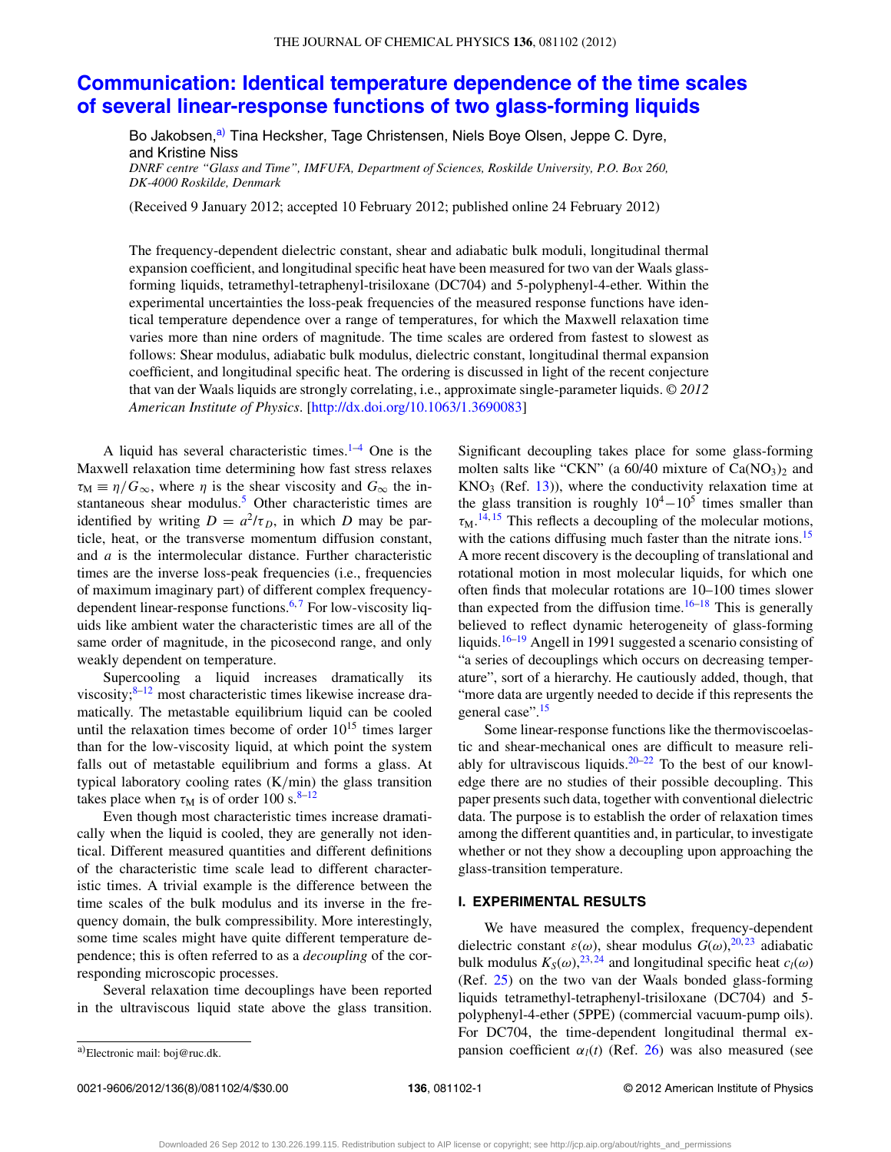# **[Communication: Identical temperature dependence of the time scales](http://dx.doi.org/10.1063/1.3690083) [of several linear-response functions of two glass-forming liquids](http://dx.doi.org/10.1063/1.3690083)**

Bo Jakobsen,<sup>[a\)](#page-2-0)</sup> Tina Hecksher, Tage Christensen, Niels Boye Olsen, Jeppe C. Dyre, and Kristine Niss

*DNRF centre "Glass and Time", IMFUFA, Department of Sciences, Roskilde University, P.O. Box 260, DK-4000 Roskilde, Denmark*

(Received 9 January 2012; accepted 10 February 2012; published online 24 February 2012)

The frequency-dependent dielectric constant, shear and adiabatic bulk moduli, longitudinal thermal expansion coefficient, and longitudinal specific heat have been measured for two van der Waals glassforming liquids, tetramethyl-tetraphenyl-trisiloxane (DC704) and 5-polyphenyl-4-ether. Within the experimental uncertainties the loss-peak frequencies of the measured response functions have identical temperature dependence over a range of temperatures, for which the Maxwell relaxation time varies more than nine orders of magnitude. The time scales are ordered from fastest to slowest as follows: Shear modulus, adiabatic bulk modulus, dielectric constant, longitudinal thermal expansion coefficient, and longitudinal specific heat. The ordering is discussed in light of the recent conjecture that van der Waals liquids are strongly correlating, i.e., approximate single-parameter liquids. *© 2012 American Institute of Physics*. [\[http://dx.doi.org/10.1063/1.3690083\]](http://dx.doi.org/10.1063/1.3690083)

A liquid has several characteristic times. $1-4$  $1-4$  One is the Maxwell relaxation time determining how fast stress relaxes  $\tau_M \equiv \eta/G_{\infty}$ , where  $\eta$  is the shear viscosity and  $G_{\infty}$  the instantaneous shear modulus.<sup>5</sup> Other characteristic times are identified by writing  $D = a^2/\tau_D$ , in which *D* may be particle, heat, or the transverse momentum diffusion constant, and *a* is the intermolecular distance. Further characteristic times are the inverse loss-peak frequencies (i.e., frequencies of maximum imaginary part) of different complex frequencydependent linear-response functions. $6,7$  $6,7$  For low-viscosity liquids like ambient water the characteristic times are all of the same order of magnitude, in the picosecond range, and only weakly dependent on temperature.

Supercooling a liquid increases dramatically its viscosity; $8-12$  $8-12$  most characteristic times likewise increase dramatically. The metastable equilibrium liquid can be cooled until the relaxation times become of order  $10^{15}$  times larger than for the low-viscosity liquid, at which point the system falls out of metastable equilibrium and forms a glass. At typical laboratory cooling rates (K*/*min) the glass transition takes place when  $\tau_M$  is of order 100 s.<sup>[8–](#page-5-5)[12](#page-5-6)</sup>

Even though most characteristic times increase dramatically when the liquid is cooled, they are generally not identical. Different measured quantities and different definitions of the characteristic time scale lead to different characteristic times. A trivial example is the difference between the time scales of the bulk modulus and its inverse in the frequency domain, the bulk compressibility. More interestingly, some time scales might have quite different temperature dependence; this is often referred to as a *decoupling* of the corresponding microscopic processes.

Several relaxation time decouplings have been reported in the ultraviscous liquid state above the glass transition. Significant decoupling takes place for some glass-forming molten salts like "CKN" (a  $60/40$  mixture of Ca(NO<sub>3</sub>)<sub>2</sub> and  $KNO<sub>3</sub>$  (Ref. [13\)](#page-5-7)), where the conductivity relaxation time at the glass transition is roughly  $10^4 - 10^5$  times smaller than  $\tau_{\rm M}$ .<sup>[14,](#page-5-8) [15](#page-5-9)</sup> This reflects a decoupling of the molecular motions, with the cations diffusing much faster than the nitrate ions.<sup>[15](#page-5-9)</sup> A more recent discovery is the decoupling of translational and rotational motion in most molecular liquids, for which one often finds that molecular rotations are 10–100 times slower than expected from the diffusion time. $16-18$  $16-18$  This is generally believed to reflect dynamic heterogeneity of glass-forming liquids.<sup>16–[19](#page-5-12)</sup> Angell in 1991 suggested a scenario consisting of "a series of decouplings which occurs on decreasing temperature", sort of a hierarchy. He cautiously added, though, that "more data are urgently needed to decide if this represents the general case".<sup>[15](#page-5-9)</sup>

Some linear-response functions like the thermoviscoelastic and shear-mechanical ones are difficult to measure reli-ably for ultraviscous liquids.<sup>[20](#page-5-13)[–22](#page-5-14)</sup> To the best of our knowledge there are no studies of their possible decoupling. This paper presents such data, together with conventional dielectric data. The purpose is to establish the order of relaxation times among the different quantities and, in particular, to investigate whether or not they show a decoupling upon approaching the glass-transition temperature.

### **I. EXPERIMENTAL RESULTS**

We have measured the complex, frequency-dependent dielectric constant  $\varepsilon(\omega)$ , shear modulus  $G(\omega)$ , <sup>[20,](#page-5-13) [23](#page-5-15)</sup> adiabatic bulk modulus  $K_S(\omega)$ , <sup>[23,](#page-5-15) [24](#page-5-16)</sup> and longitudinal specific heat  $c_l(\omega)$ (Ref. [25\)](#page-5-17) on the two van der Waals bonded glass-forming liquids tetramethyl-tetraphenyl-trisiloxane (DC704) and 5 polyphenyl-4-ether (5PPE) (commercial vacuum-pump oils). For DC704, the time-dependent longitudinal thermal expansion coefficient  $\alpha_l(t)$  (Ref. [26\)](#page-5-18) was also measured (see

<span id="page-2-0"></span>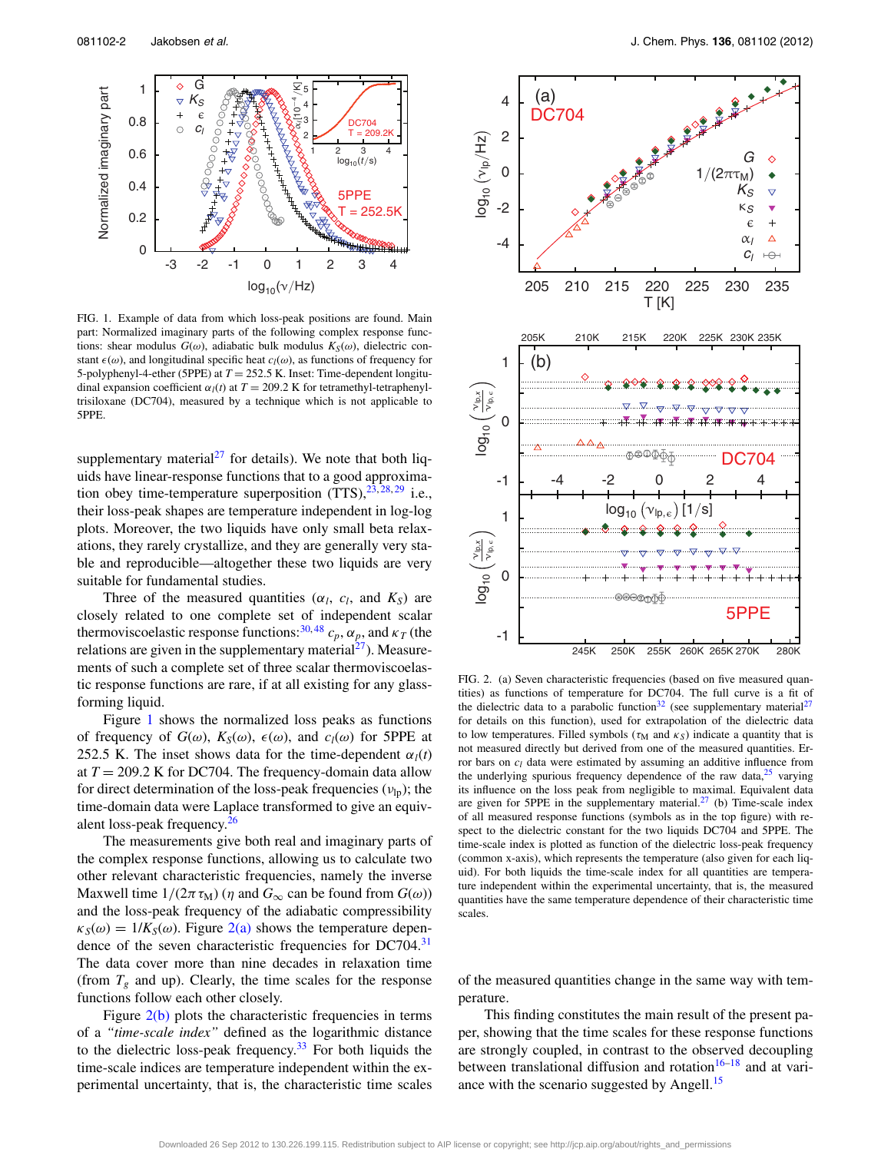<span id="page-3-0"></span>

FIG. 1. Example of data from which loss-peak positions are found. Main part: Normalized imaginary parts of the following complex response functions: shear modulus  $G(\omega)$ , adiabatic bulk modulus  $K_S(\omega)$ , dielectric constant  $\epsilon(\omega)$ , and longitudinal specific heat  $c_l(\omega)$ , as functions of frequency for 5-polyphenyl-4-ether (5PPE) at *T* = 252.5 K. Inset: Time-dependent longitudinal expansion coefficient  $\alpha_l(t)$  at  $T = 209.2$  K for tetramethyl-tetraphenyltrisiloxane (DC704), measured by a technique which is not applicable to 5PPE.

supplementary material<sup>27</sup> for details). We note that both liquids have linear-response functions that to a good approximation obey time-temperature superposition  $(TTS)$ ,  $^{23, 28, 29}$  $^{23, 28, 29}$  $^{23, 28, 29}$  $^{23, 28, 29}$  $^{23, 28, 29}$  i.e., their loss-peak shapes are temperature independent in log-log plots. Moreover, the two liquids have only small beta relaxations, they rarely crystallize, and they are generally very stable and reproducible—altogether these two liquids are very suitable for fundamental studies.

Three of the measured quantities ( $\alpha_l$ ,  $c_l$ , and  $K_S$ ) are closely related to one complete set of independent scalar thermoviscoelastic response functions:<sup>[30,](#page-5-22)[48](#page-5-23)</sup>  $c_p$ ,  $\alpha_p$ , and  $\kappa_T$  (the relations are given in the supplementary material $^{27}$ ). Measurements of such a complete set of three scalar thermoviscoelastic response functions are rare, if at all existing for any glassforming liquid.

Figure [1](#page-3-0) shows the normalized loss peaks as functions of frequency of  $G(\omega)$ ,  $K_S(\omega)$ ,  $\epsilon(\omega)$ , and  $c_l(\omega)$  for 5PPE at 252.5 K. The inset shows data for the time-dependent  $\alpha_l(t)$ at  $T = 209.2$  K for DC704. The frequency-domain data allow for direct determination of the loss-peak frequencies (*ν*lp); the time-domain data were Laplace transformed to give an equiv-alent loss-peak frequency.<sup>[26](#page-5-18)</sup>

The measurements give both real and imaginary parts of the complex response functions, allowing us to calculate two other relevant characteristic frequencies, namely the inverse Maxwell time  $1/(2\pi \tau_M)$  ( $\eta$  and  $G_{\infty}$  can be found from  $G(\omega)$ ) and the loss-peak frequency of the adiabatic compressibility  $\kappa_S(\omega) = 1/K_S(\omega)$ . Figure [2\(a\)](#page-3-1) shows the temperature depen-dence of the seven characteristic frequencies for DC704.<sup>[31](#page-5-24)</sup> The data cover more than nine decades in relaxation time (from  $T_g$  and up). Clearly, the time scales for the response functions follow each other closely.

Figure  $2(b)$  plots the characteristic frequencies in terms of a *"time-scale index"* defined as the logarithmic distance to the dielectric loss-peak frequency.<sup>[33](#page-5-25)</sup> For both liquids the time-scale indices are temperature independent within the experimental uncertainty, that is, the characteristic time scales

<span id="page-3-1"></span>

FIG. 2. (a) Seven characteristic frequencies (based on five measured quantities) as functions of temperature for DC704. The full curve is a fit of the dielectric data to a parabolic function<sup>[32](#page-5-26)</sup> (see supplementary material<sup>27</sup> for details on this function), used for extrapolation of the dielectric data to low temperatures. Filled symbols ( $\tau_M$  and  $\kappa_S$ ) indicate a quantity that is not measured directly but derived from one of the measured quantities. Error bars on *cl* data were estimated by assuming an additive influence from the underlying spurious frequency dependence of the raw data, $25$  varying its influence on the loss peak from negligible to maximal. Equivalent data are given for 5PPE in the supplementary material. $27$  (b) Time-scale index of all measured response functions (symbols as in the top figure) with respect to the dielectric constant for the two liquids DC704 and 5PPE. The time-scale index is plotted as function of the dielectric loss-peak frequency (common x-axis), which represents the temperature (also given for each liquid). For both liquids the time-scale index for all quantities are temperature independent within the experimental uncertainty, that is, the measured quantities have the same temperature dependence of their characteristic time scales.

of the measured quantities change in the same way with temperature.

This finding constitutes the main result of the present paper, showing that the time scales for these response functions are strongly coupled, in contrast to the observed decoupling between translational diffusion and rotation $16-18$  and at variance with the scenario suggested by Angell.<sup>15</sup>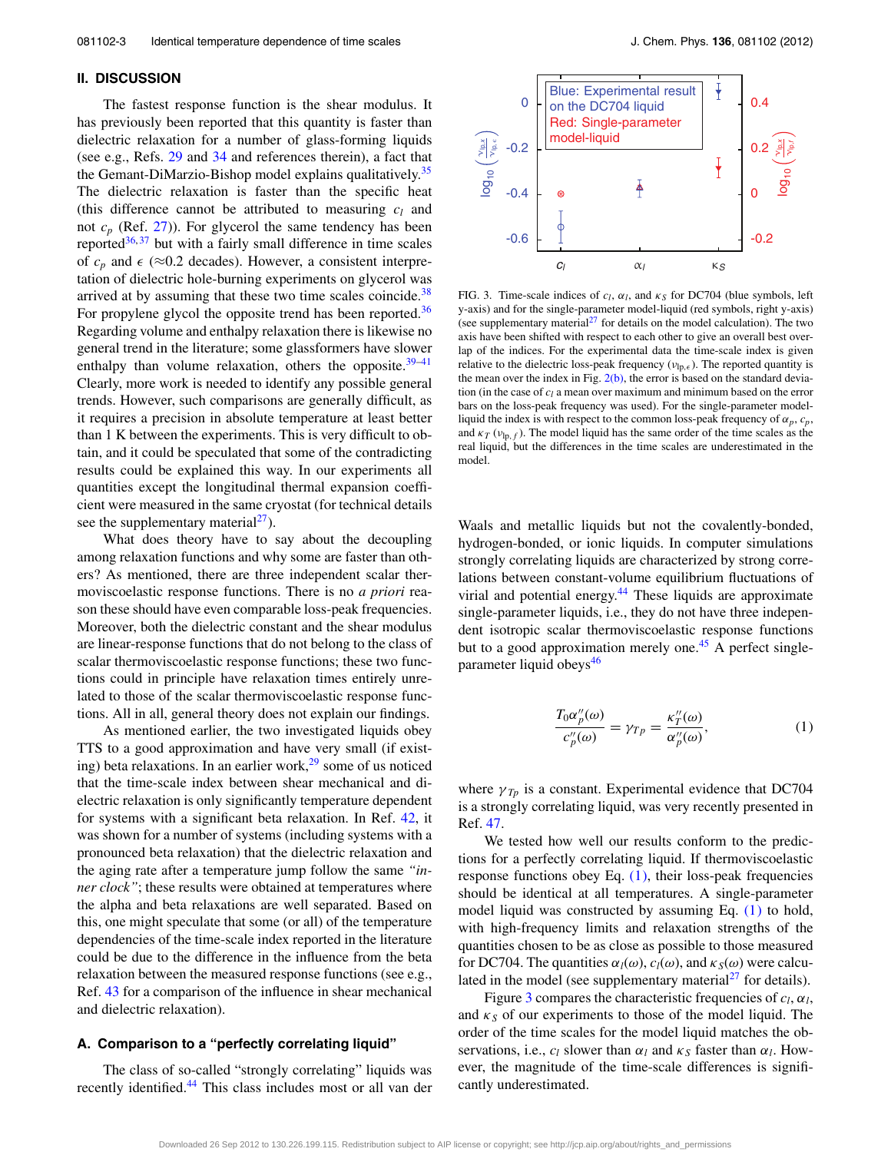#### **II. DISCUSSION**

The fastest response function is the shear modulus. It has previously been reported that this quantity is faster than dielectric relaxation for a number of glass-forming liquids (see e.g., Refs. [29](#page-5-21) and [34](#page-5-27) and references therein), a fact that the Gemant-DiMarzio-Bishop model explains qualitatively.<sup>35</sup> The dielectric relaxation is faster than the specific heat (this difference cannot be attributed to measuring  $c_l$  and not  $c_p$  (Ref. [27\)](#page-5-19)). For glycerol the same tendency has been reported $36,37$  $36,37$  but with a fairly small difference in time scales of  $c_p$  and  $\epsilon$  ( $\approx$ 0.2 decades). However, a consistent interpretation of dielectric hole-burning experiments on glycerol was arrived at by assuming that these two time scales coincide. $38$ For propylene glycol the opposite trend has been reported.<sup>[36](#page-5-29)</sup> Regarding volume and enthalpy relaxation there is likewise no general trend in the literature; some glassformers have slower enthalpy than volume relaxation, others the opposite. $39-41$  $39-41$ Clearly, more work is needed to identify any possible general trends. However, such comparisons are generally difficult, as it requires a precision in absolute temperature at least better than 1 K between the experiments. This is very difficult to obtain, and it could be speculated that some of the contradicting results could be explained this way. In our experiments all quantities except the longitudinal thermal expansion coefficient were measured in the same cryostat (for technical details see the supplementary material<sup>27</sup>).

What does theory have to say about the decoupling among relaxation functions and why some are faster than others? As mentioned, there are three independent scalar thermoviscoelastic response functions. There is no *a priori* reason these should have even comparable loss-peak frequencies. Moreover, both the dielectric constant and the shear modulus are linear-response functions that do not belong to the class of scalar thermoviscoelastic response functions; these two functions could in principle have relaxation times entirely unrelated to those of the scalar thermoviscoelastic response functions. All in all, general theory does not explain our findings.

As mentioned earlier, the two investigated liquids obey TTS to a good approximation and have very small (if existing) beta relaxations. In an earlier work, $2<sup>9</sup>$  some of us noticed that the time-scale index between shear mechanical and dielectric relaxation is only significantly temperature dependent for systems with a significant beta relaxation. In Ref. [42,](#page-5-34) it was shown for a number of systems (including systems with a pronounced beta relaxation) that the dielectric relaxation and the aging rate after a temperature jump follow the same *"inner clock"*; these results were obtained at temperatures where the alpha and beta relaxations are well separated. Based on this, one might speculate that some (or all) of the temperature dependencies of the time-scale index reported in the literature could be due to the difference in the influence from the beta relaxation between the measured response functions (see e.g., Ref. [43](#page-5-35) for a comparison of the influence in shear mechanical and dielectric relaxation).

## **A. Comparison to a "perfectly correlating liquid"**

The class of so-called "strongly correlating" liquids was recently identified.<sup>[44](#page-5-36)</sup> This class includes most or all van der

<span id="page-4-1"></span>

FIG. 3. Time-scale indices of  $c_l$ ,  $\alpha_l$ , and  $\kappa_S$  for DC704 (blue symbols, left y-axis) and for the single-parameter model-liquid (red symbols, right y-axis) (see supplementary material<sup>27</sup> for details on the model calculation). The two axis have been shifted with respect to each other to give an overall best overlap of the indices. For the experimental data the time-scale index is given relative to the dielectric loss-peak frequency ( $v_{lp,\epsilon}$ ). The reported quantity is the mean over the index in Fig.  $2(b)$ , the error is based on the standard deviation (in the case of *cl* a mean over maximum and minimum based on the error bars on the loss-peak frequency was used). For the single-parameter modelliquid the index is with respect to the common loss-peak frequency of  $\alpha_p$ ,  $c_p$ , and  $\kappa_T(\nu_{\text{lp},f})$ . The model liquid has the same order of the time scales as the real liquid, but the differences in the time scales are underestimated in the model.

Waals and metallic liquids but not the covalently-bonded, hydrogen-bonded, or ionic liquids. In computer simulations strongly correlating liquids are characterized by strong correlations between constant-volume equilibrium fluctuations of virial and potential energy.<sup>44</sup> These liquids are approximate single-parameter liquids, i.e., they do not have three independent isotropic scalar thermoviscoelastic response functions but to a good approximation merely one.<sup>45</sup> A perfect single-parameter liquid obeys<sup>[46](#page-5-38)</sup>

<span id="page-4-0"></span>
$$
\frac{T_0 \alpha_p''(\omega)}{c_p''(\omega)} = \gamma_{Tp} = \frac{\kappa_T''(\omega)}{\alpha_p''(\omega)},\tag{1}
$$

where  $\gamma_{T_p}$  is a constant. Experimental evidence that DC704 is a strongly correlating liquid, was very recently presented in Ref. [47.](#page-5-39)

We tested how well our results conform to the predictions for a perfectly correlating liquid. If thermoviscoelastic response functions obey Eq.  $(1)$ , their loss-peak frequencies should be identical at all temperatures. A single-parameter model liquid was constructed by assuming Eq. [\(1\)](#page-4-0) to hold, with high-frequency limits and relaxation strengths of the quantities chosen to be as close as possible to those measured for DC704. The quantities  $\alpha_l(\omega)$ ,  $c_l(\omega)$ , and  $\kappa_s(\omega)$  were calculated in the model (see supplementary material $^{27}$  $^{27}$  $^{27}$  for details).

Figure [3](#page-4-1) compares the characteristic frequencies of  $c_l$ ,  $\alpha_l$ , and  $\kappa_S$  of our experiments to those of the model liquid. The order of the time scales for the model liquid matches the observations, i.e.,  $c_l$  slower than  $\alpha_l$  and  $\kappa_s$  faster than  $\alpha_l$ . However, the magnitude of the time-scale differences is significantly underestimated.